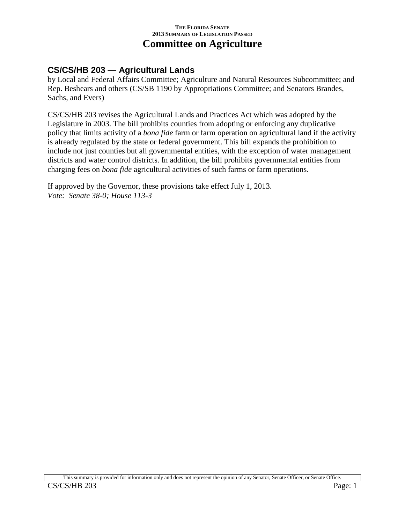### **CS/CS/HB 203 — Agricultural Lands**

by Local and Federal Affairs Committee; Agriculture and Natural Resources Subcommittee; and Rep. Beshears and others (CS/SB 1190 by Appropriations Committee; and Senators Brandes, Sachs, and Evers)

CS/CS/HB 203 revises the Agricultural Lands and Practices Act which was adopted by the Legislature in 2003. The bill prohibits counties from adopting or enforcing any duplicative policy that limits activity of a *bona fide* farm or farm operation on agricultural land if the activity is already regulated by the state or federal government. This bill expands the prohibition to include not just counties but all governmental entities, with the exception of water management districts and water control districts. In addition, the bill prohibits governmental entities from charging fees on *bona fide* agricultural activities of such farms or farm operations.

If approved by the Governor, these provisions take effect July 1, 2013. *Vote: Senate 38-0; House 113-3*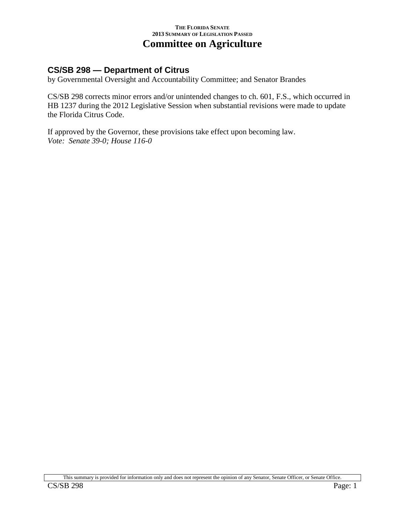# **CS/SB 298 — Department of Citrus**

by Governmental Oversight and Accountability Committee; and Senator Brandes

CS/SB 298 corrects minor errors and/or unintended changes to ch. 601, F.S., which occurred in HB 1237 during the 2012 Legislative Session when substantial revisions were made to update the Florida Citrus Code.

If approved by the Governor, these provisions take effect upon becoming law. *Vote: Senate 39-0; House 116-0*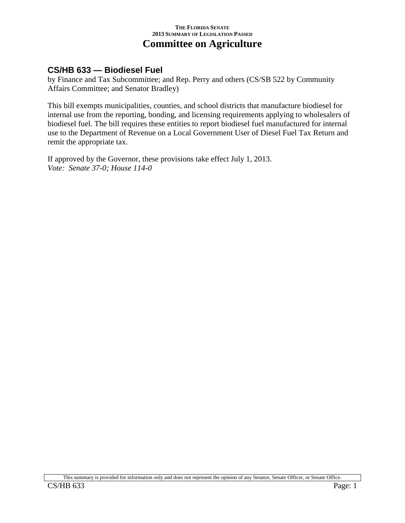### **CS/HB 633 — Biodiesel Fuel**

by Finance and Tax Subcommittee; and Rep. Perry and others (CS/SB 522 by Community Affairs Committee; and Senator Bradley)

This bill exempts municipalities, counties, and school districts that manufacture biodiesel for internal use from the reporting, bonding, and licensing requirements applying to wholesalers of biodiesel fuel. The bill requires these entities to report biodiesel fuel manufactured for internal use to the Department of Revenue on a Local Government User of Diesel Fuel Tax Return and remit the appropriate tax.

If approved by the Governor, these provisions take effect July 1, 2013. *Vote: Senate 37-0; House 114-0*

This summary is provided for information only and does not represent the opinion of any Senator, Senate Officer, or Senate Office.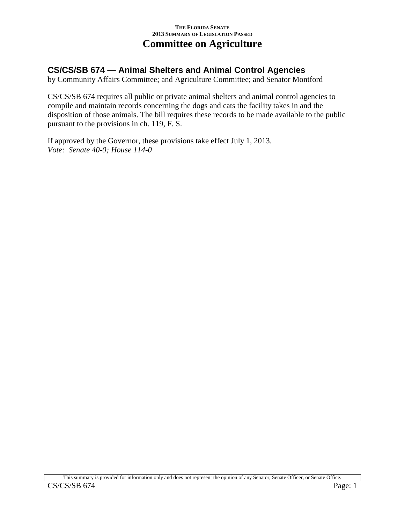## **CS/CS/SB 674 — Animal Shelters and Animal Control Agencies**

by Community Affairs Committee; and Agriculture Committee; and Senator Montford

CS/CS/SB 674 requires all public or private animal shelters and animal control agencies to compile and maintain records concerning the dogs and cats the facility takes in and the disposition of those animals. The bill requires these records to be made available to the public pursuant to the provisions in ch. 119, F. S.

If approved by the Governor, these provisions take effect July 1, 2013. *Vote: Senate 40-0; House 114-0*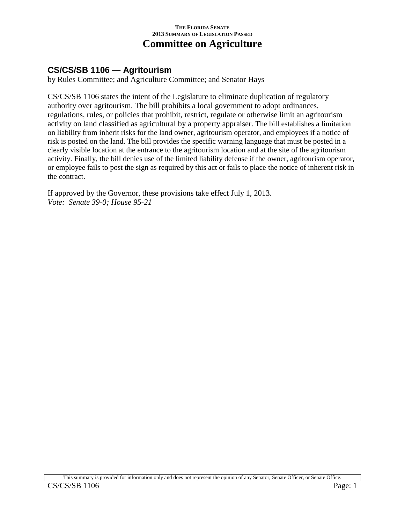## **CS/CS/SB 1106 — Agritourism**

by Rules Committee; and Agriculture Committee; and Senator Hays

CS/CS/SB 1106 states the intent of the Legislature to eliminate duplication of regulatory authority over agritourism. The bill prohibits a local government to adopt ordinances, regulations, rules, or policies that prohibit, restrict, regulate or otherwise limit an agritourism activity on land classified as agricultural by a property appraiser. The bill establishes a limitation on liability from inherit risks for the land owner, agritourism operator, and employees if a notice of risk is posted on the land. The bill provides the specific warning language that must be posted in a clearly visible location at the entrance to the agritourism location and at the site of the agritourism activity. Finally, the bill denies use of the limited liability defense if the owner, agritourism operator, or employee fails to post the sign as required by this act or fails to place the notice of inherent risk in the contract.

If approved by the Governor, these provisions take effect July 1, 2013. *Vote: Senate 39-0; House 95-21*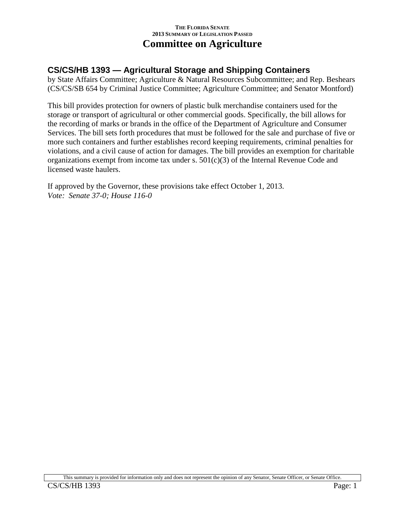## **CS/CS/HB 1393 — Agricultural Storage and Shipping Containers**

by State Affairs Committee; Agriculture & Natural Resources Subcommittee; and Rep. Beshears (CS/CS/SB 654 by Criminal Justice Committee; Agriculture Committee; and Senator Montford)

This bill provides protection for owners of plastic bulk merchandise containers used for the storage or transport of agricultural or other commercial goods. Specifically, the bill allows for the recording of marks or brands in the office of the Department of Agriculture and Consumer Services. The bill sets forth procedures that must be followed for the sale and purchase of five or more such containers and further establishes record keeping requirements, criminal penalties for violations, and a civil cause of action for damages. The bill provides an exemption for charitable organizations exempt from income tax under s. 501(c)(3) of the Internal Revenue Code and licensed waste haulers.

If approved by the Governor, these provisions take effect October 1, 2013. *Vote: Senate 37-0; House 116-0*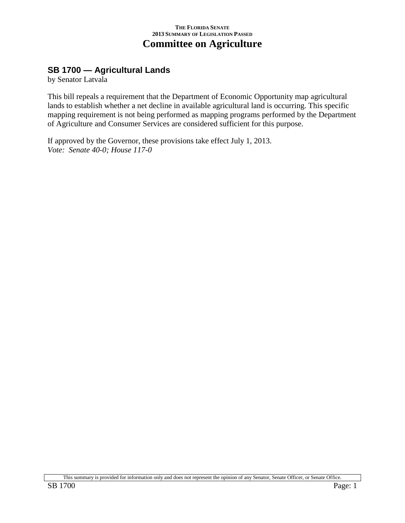## **SB 1700 — Agricultural Lands**

by Senator Latvala

This bill repeals a requirement that the Department of Economic Opportunity map agricultural lands to establish whether a net decline in available agricultural land is occurring. This specific mapping requirement is not being performed as mapping programs performed by the Department of Agriculture and Consumer Services are considered sufficient for this purpose.

If approved by the Governor, these provisions take effect July 1, 2013. *Vote: Senate 40-0; House 117-0*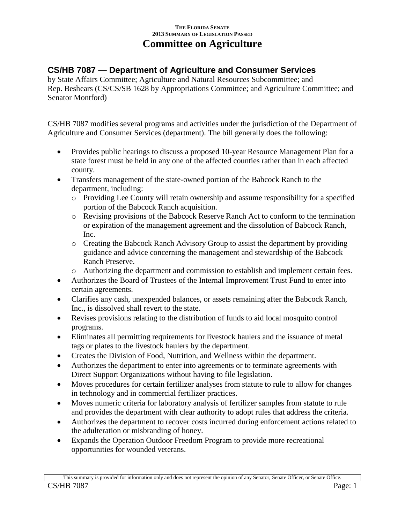# **CS/HB 7087 — Department of Agriculture and Consumer Services**

by State Affairs Committee; Agriculture and Natural Resources Subcommittee; and Rep. Beshears (CS/CS/SB 1628 by Appropriations Committee; and Agriculture Committee; and Senator Montford)

CS/HB 7087 modifies several programs and activities under the jurisdiction of the Department of Agriculture and Consumer Services (department). The bill generally does the following:

- Provides public hearings to discuss a proposed 10-year Resource Management Plan for a state forest must be held in any one of the affected counties rather than in each affected county.
- Transfers management of the state-owned portion of the Babcock Ranch to the department, including:
	- o Providing Lee County will retain ownership and assume responsibility for a specified portion of the Babcock Ranch acquisition.
	- o Revising provisions of the Babcock Reserve Ranch Act to conform to the termination or expiration of the management agreement and the dissolution of Babcock Ranch, Inc.
	- o Creating the Babcock Ranch Advisory Group to assist the department by providing guidance and advice concerning the management and stewardship of the Babcock Ranch Preserve.
	- o Authorizing the department and commission to establish and implement certain fees.
- Authorizes the Board of Trustees of the Internal Improvement Trust Fund to enter into certain agreements.
- Clarifies any cash, unexpended balances, or assets remaining after the Babcock Ranch, Inc., is dissolved shall revert to the state.
- Revises provisions relating to the distribution of funds to aid local mosquito control programs.
- Eliminates all permitting requirements for livestock haulers and the issuance of metal tags or plates to the livestock haulers by the department.
- Creates the Division of Food, Nutrition, and Wellness within the department.
- Authorizes the department to enter into agreements or to terminate agreements with Direct Support Organizations without having to file legislation.
- Moves procedures for certain fertilizer analyses from statute to rule to allow for changes in technology and in commercial fertilizer practices.
- Moves numeric criteria for laboratory analysis of fertilizer samples from statute to rule and provides the department with clear authority to adopt rules that address the criteria.
- Authorizes the department to recover costs incurred during enforcement actions related to the adulteration or misbranding of honey.
- Expands the Operation Outdoor Freedom Program to provide more recreational opportunities for wounded veterans.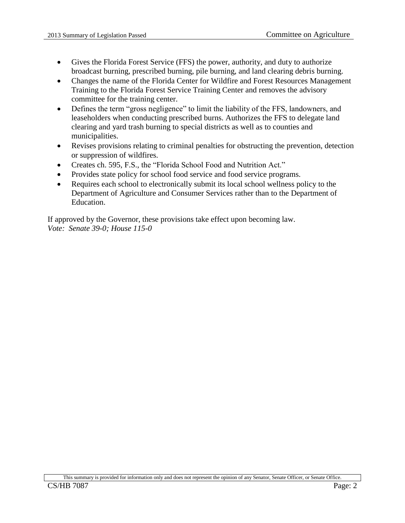- Gives the Florida Forest Service (FFS) the power, authority, and duty to authorize broadcast burning, prescribed burning, pile burning, and land clearing debris burning.
- Changes the name of the Florida Center for Wildfire and Forest Resources Management Training to the Florida Forest Service Training Center and removes the advisory committee for the training center.
- Defines the term "gross negligence" to limit the liability of the FFS, landowners, and leaseholders when conducting prescribed burns. Authorizes the FFS to delegate land clearing and yard trash burning to special districts as well as to counties and municipalities.
- Revises provisions relating to criminal penalties for obstructing the prevention, detection or suppression of wildfires.
- Creates ch. 595, F.S., the "Florida School Food and Nutrition Act."
- Provides state policy for school food service and food service programs.
- Requires each school to electronically submit its local school wellness policy to the Department of Agriculture and Consumer Services rather than to the Department of Education.

If approved by the Governor, these provisions take effect upon becoming law. *Vote: Senate 39-0; House 115-0*